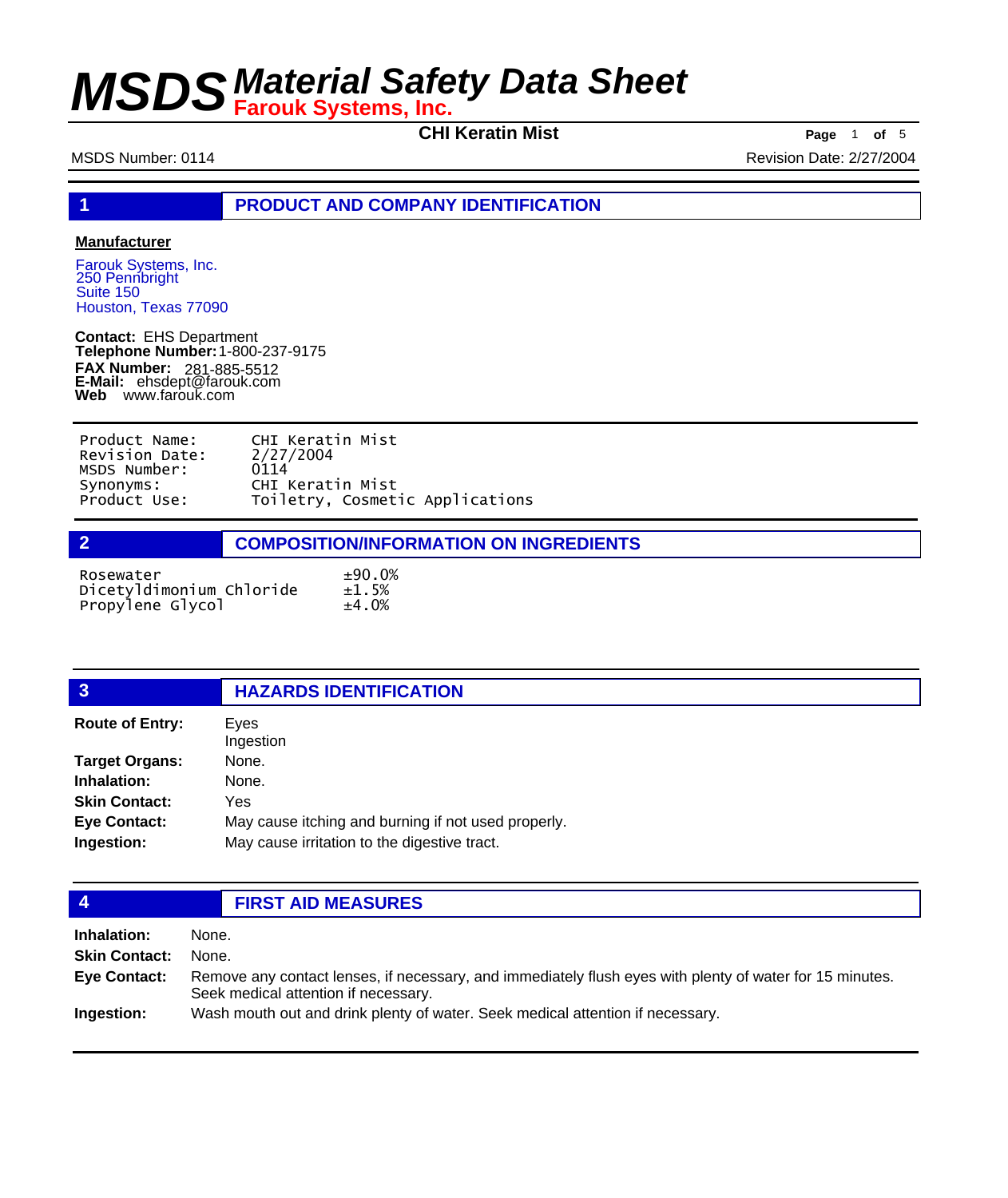**CHI Keratin Mist Page** <sup>1</sup> **of** <sup>5</sup>

MSDS Number: 0114 **MSDS Number: 0114** Revision Date: 2/27/2004

**1 PRODUCT AND COMPANY IDENTIFICATION**

### **Manufacturer**

Farouk Systems, Inc. 250 Pennbright Suite 150 Houston, Texas 77090

**Contact:** EHS Department **Telephone Number:** 1-800-237-9175 **FAX Number: FAX Number:** 281-885-5512<br>**E-Mail:** ehsdept@farouk.com **Web** www.farouk.com

| Product Name:  | CHI Keratin Mist                |
|----------------|---------------------------------|
| Revision Date: | 2/27/2004                       |
| MSDS Number:   | 0114                            |
| Synonyms:      | CHI Keratin Mist                |
| Product Use:   | Toiletry, Cosmetic Applications |

| $\overline{2}$                        | <b>COMPOSITION/INFORMATION ON INGREDIENTS</b> |  |  |
|---------------------------------------|-----------------------------------------------|--|--|
| Rosewater<br>Dicetyldimonium Chloride | ±90.0%<br>±1.5%                               |  |  |
| Propylene Glycol                      | ±4.0%                                         |  |  |

# **3 HAZARDS IDENTIFICATION**

| <b>Route of Entry:</b> | Eyes                                                |
|------------------------|-----------------------------------------------------|
|                        | Ingestion                                           |
| <b>Target Organs:</b>  | None.                                               |
| Inhalation:            | None.                                               |
| <b>Skin Contact:</b>   | Yes                                                 |
| <b>Eye Contact:</b>    | May cause itching and burning if not used properly. |
| Ingestion:             | May cause irritation to the digestive tract.        |

| 4                                                   | <b>FIRST AID MEASURES</b>                                                                                                                                          |
|-----------------------------------------------------|--------------------------------------------------------------------------------------------------------------------------------------------------------------------|
| Inhalation:<br><b>Skin Contact:</b><br>Eye Contact: | None.<br>None.<br>Remove any contact lenses, if necessary, and immediately flush eyes with plenty of water for 15 minutes.<br>Seek medical attention if necessary. |

**Ingestion:** Wash mouth out and drink plenty of water. Seek medical attention if necessary.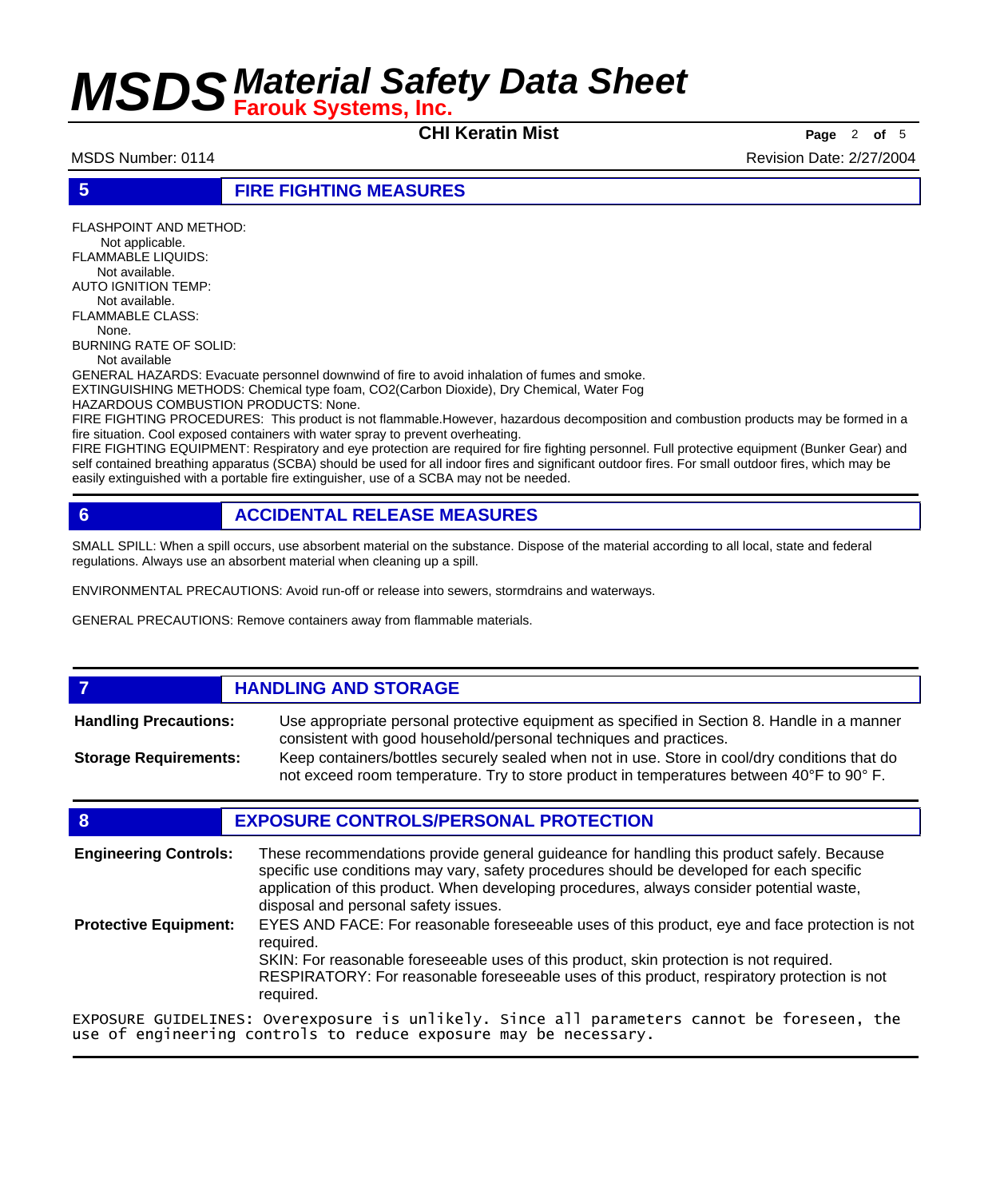**CHI Keratin Mist Page** <sup>2</sup> **of** <sup>5</sup>

MSDS Number: 0114 **MSDS Number: 0114** Revision Date: 2/27/2004

**5 FIRE FIGHTING MEASURES**

FLASHPOINT AND METHOD: Not applicable. FLAMMABLE LIQUIDS: Not available. AUTO IGNITION TEMP: Not available. FLAMMABLE CLASS: None. BURNING RATE OF SOLID: Not available GENERAL HAZARDS: Evacuate personnel downwind of fire to avoid inhalation of fumes and smoke. EXTINGUISHING METHODS: Chemical type foam, CO2(Carbon Dioxide), Dry Chemical, Water Fog HAZARDOUS COMBUSTION PRODUCTS: None. FIRE FIGHTING PROCEDURES: This product is not flammable.However, hazardous decomposition and combustion products may be formed in a

fire situation. Cool exposed containers with water spray to prevent overheating. FIRE FIGHTING EQUIPMENT: Respiratory and eye protection are required for fire fighting personnel. Full protective equipment (Bunker Gear) and self contained breathing apparatus (SCBA) should be used for all indoor fires and significant outdoor fires. For small outdoor fires, which may be easily extinguished with a portable fire extinguisher, use of a SCBA may not be needed.

# **6 ACCIDENTAL RELEASE MEASURES**

SMALL SPILL: When a spill occurs, use absorbent material on the substance. Dispose of the material according to all local, state and federal regulations. Always use an absorbent material when cleaning up a spill.

ENVIRONMENTAL PRECAUTIONS: Avoid run-off or release into sewers, stormdrains and waterways.

GENERAL PRECAUTIONS: Remove containers away from flammable materials.

## *HANDLING AND STORAGE*

Use appropriate personal protective equipment as specified in Section 8. Handle in a manner consistent with good household/personal techniques and practices. **Handling Precautions:** Keep containers/bottles securely sealed when not in use. Store in cool/dry conditions that do **Storage Requirements:**

not exceed room temperature. Try to store product in temperatures between 40°F to 90° F.

## **8 EXPOSURE CONTROLS/PERSONAL PROTECTION**

These recommendations provide general guideance for handling this product safely. Because specific use conditions may vary, safety procedures should be developed for each specific application of this product. When developing procedures, always consider potential waste, disposal and personal safety issues. **Engineering Controls:** EYES AND FACE: For reasonable foreseeable uses of this product, eye and face protection is not required. SKIN: For reasonable foreseeable uses of this product, skin protection is not required. RESPIRATORY: For reasonable foreseeable uses of this product, respiratory protection is not required. **Protective Equipment:** EXPOSURE GUIDELINES: Overexposure is unlikely. Since all parameters cannot be foreseen, the

use of engineering controls to reduce exposure may be necessary.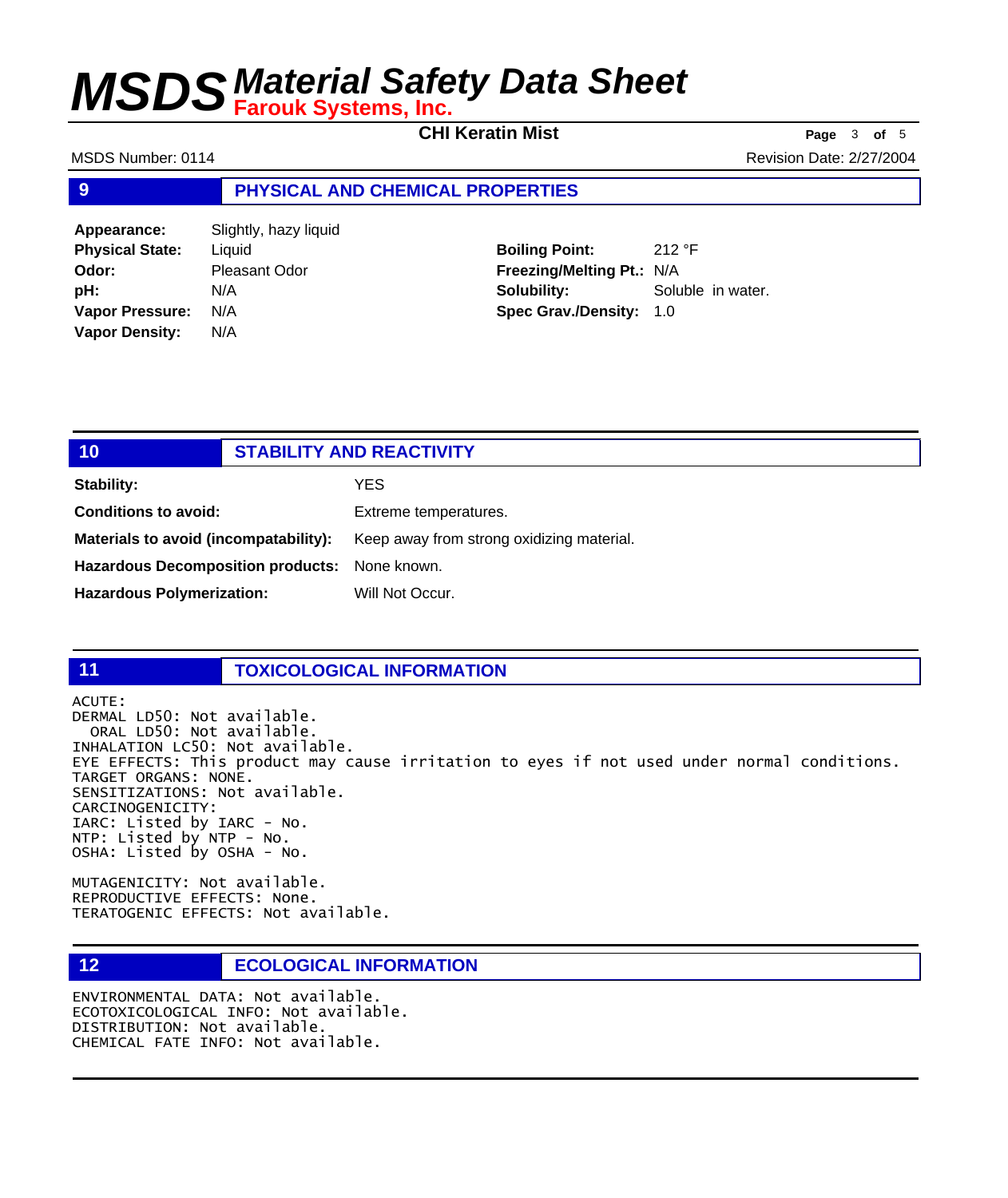**CHI Keratin Mist Page** <sup>3</sup> **of** <sup>5</sup>

MSDS Number: 0114 **MSDS Number: 0114** Revision Date: 2/27/2004

### **9 PHYSICAL AND CHEMICAL PROPERTIES**

**Appearance:** Slightly, hazy liquid **Physical State:** Liquid **Odor:** Pleasant Odor **pH:** N/A **Vapor Pressure:** N/A **Vapor Density:** N/A

**Boiling Point:** 212 °F **Freezing/Melting Pt.:** N/A **Solubility:** Soluble in water. **Spec Grav./Density:** 1.0

| 10                                            | <b>STABILITY AND REACTIVITY</b>           |
|-----------------------------------------------|-------------------------------------------|
| Stability:                                    | YES.                                      |
| <b>Conditions to avoid:</b>                   | Extreme temperatures.                     |
| Materials to avoid (incompatability):         | Keep away from strong oxidizing material. |
| Hazardous Decomposition products: None known. |                                           |
| <b>Hazardous Polymerization:</b>              | Will Not Occur.                           |

### **11 TOXICOLOGICAL INFORMATION**

ACUTE: DERMAL LD50: Not available. ORAL LD50: Not available. INHALATION LC50: Not available. EYE EFFECTS: This product may cause irritation to eyes if not used under normal conditions. TARGET ORGANS: NONE. SENSITIZATIONS: Not available. CARCINOGENICITY: IARC: Listed by IARC - No. NTP: Listed by NTP - No. OSHA: Listed by OSHA - No.

MUTAGENICITY: Not available. REPRODUCTIVE EFFECTS: None. TERATOGENIC EFFECTS: Not available.

## **12 ECOLOGICAL INFORMATION**

ENVIRONMENTAL DATA: Not available. ECOTOXICOLOGICAL INFO: Not available. DISTRIBUTION: Not available. CHEMICAL FATE INFO: Not available.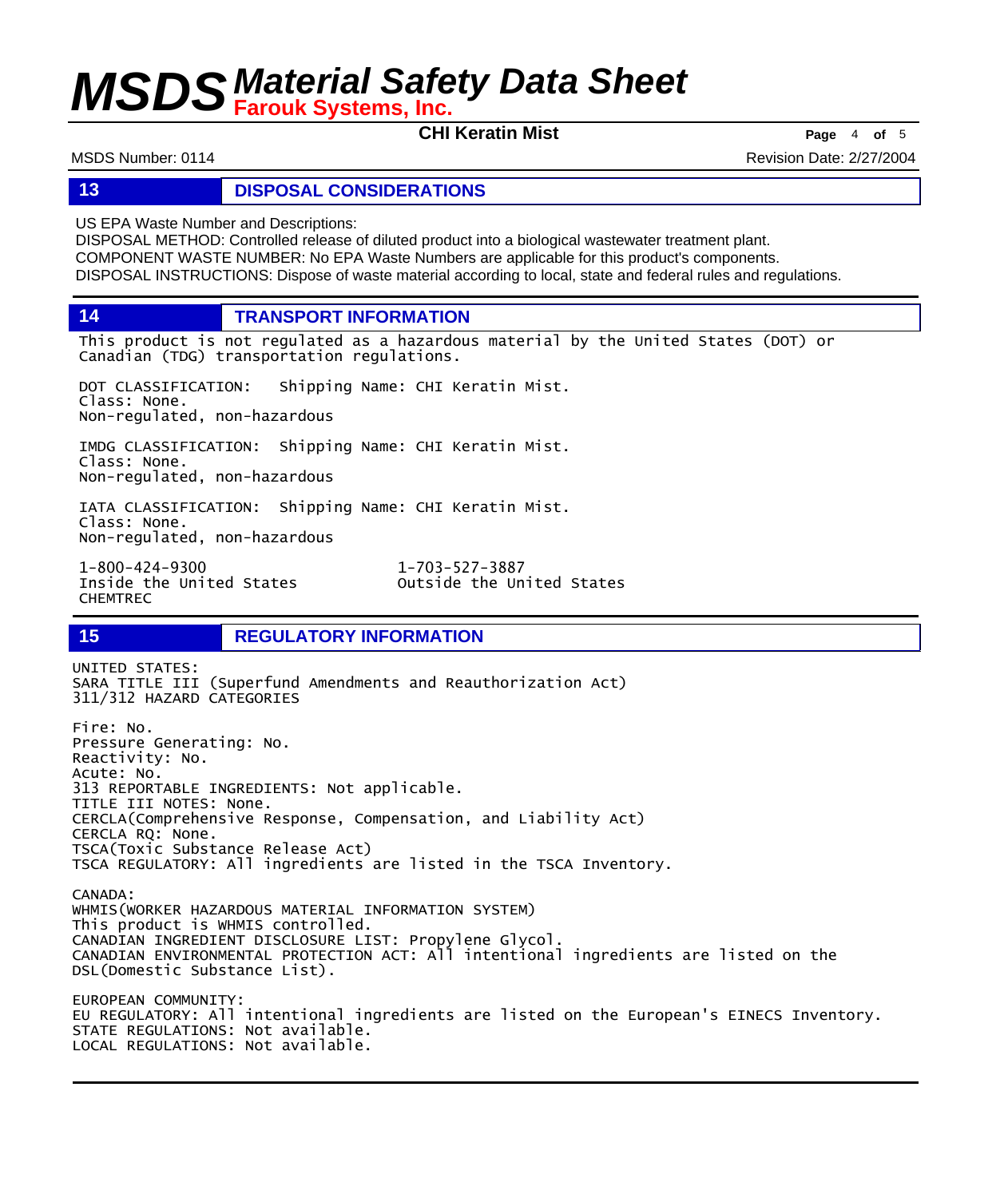**CHI Keratin Mist Page** <sup>4</sup> **of** <sup>5</sup>

MSDS Number: 0114 **MSDS Number: 0114** Revision Date: 2/27/2004

### **13 DISPOSAL CONSIDERATIONS**

US EPA Waste Number and Descriptions:

DISPOSAL METHOD: Controlled release of diluted product into a biological wastewater treatment plant. COMPONENT WASTE NUMBER: No EPA Waste Numbers are applicable for this product's components. DISPOSAL INSTRUCTIONS: Dispose of waste material according to local, state and federal rules and regulations.

**14 TRANSPORT INFORMATION**

This product is not regulated as a hazardous material by the United States (DOT) or Canadian (TDG) transportation regulations.

DOT CLASSIFICATION: Shipping Name: CHI Keratin Mist. Class: None. Non-regulated, non-hazardous

IMDG CLASSIFICATION: Shipping Name: CHI Keratin Mist. Class: None. Non-regulated, non-hazardous

IATA CLASSIFICATION: Shipping Name: CHI Keratin Mist. Class: None. Non-regulated, non-hazardous

1-800-424-9300 1-703-527-3887 CHEMTREC

Outside the United States

### **15 REGULATORY INFORMATION**

UNITED STATES: SARA TITLE III (Superfund Amendments and Reauthorization Act) 311/312 HAZARD CATEGORIES Fire: No. Pressure Generating: No. Reactivity: No. Acute: No. 313 REPORTABLE INGREDIENTS: Not applicable. TITLE III NOTES: None. CERCLA(Comprehensive Response, Compensation, and Liability Act) CERCLA RQ: None. TSCA(Toxic Substance Release Act) TSCA REGULATORY: All ingredients are listed in the TSCA Inventory. CANADA: WHMIS(WORKER HAZARDOUS MATERIAL INFORMATION SYSTEM) This product is WHMIS controlled. CANADIAN INGREDIENT DISCLOSURE LIST: Propylene Glycol. CANADIAN ENVIRONMENTAL PROTECTION ACT: All intentional ingredients are listed on the DSL(Domestic Substance List). EUROPEAN COMMUNITY: EU REGULATORY: All intentional ingredients are listed on the European's EINECS Inventory. STATE REGULATIONS: Not available. LOCAL REGULATIONS: Not available.